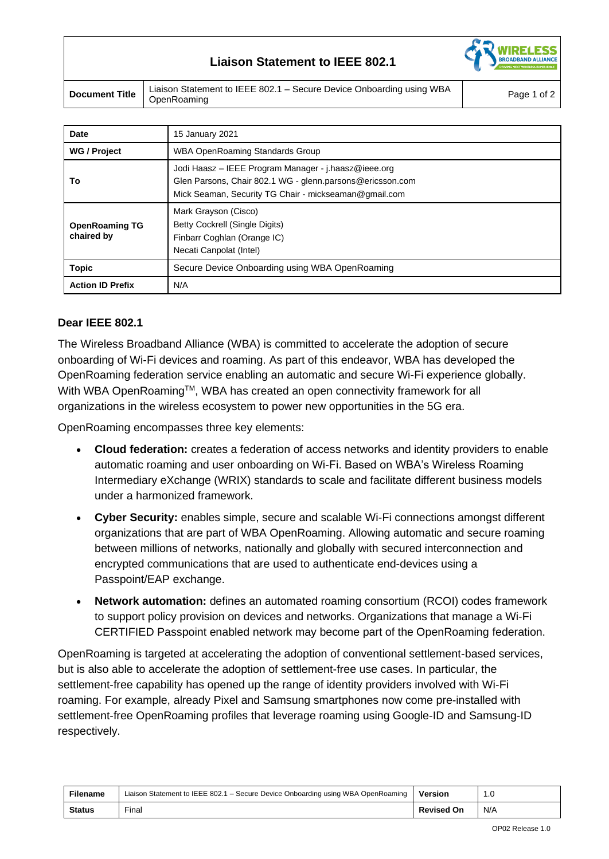# **Liaison Statement to IEEE 802.1**



**Document Title** Liaison Statement to IEEE 802.1 – Secure Device Onboarding using WBA Page 1 of 2<br>Page 1 of 2

| <b>Date</b>                         | 15 January 2021                                                                                                                                                            |
|-------------------------------------|----------------------------------------------------------------------------------------------------------------------------------------------------------------------------|
| <b>WG / Project</b>                 | <b>WBA OpenRoaming Standards Group</b>                                                                                                                                     |
| Т٥                                  | Jodi Haasz – IEEE Program Manager - j.haasz@ieee.org<br>Glen Parsons, Chair 802.1 WG - glenn.parsons@ericsson.com<br>Mick Seaman, Security TG Chair - mickseaman@gmail.com |
| <b>OpenRoaming TG</b><br>chaired by | Mark Grayson (Cisco)<br>Betty Cockrell (Single Digits)<br>Finbarr Coghlan (Orange IC)<br>Necati Canpolat (Intel)                                                           |
| <b>Topic</b>                        | Secure Device Onboarding using WBA OpenRoaming                                                                                                                             |
| <b>Action ID Prefix</b>             | N/A                                                                                                                                                                        |

### **Dear IEEE 802.1**

The Wireless Broadband Alliance (WBA) is committed to accelerate the adoption of secure onboarding of Wi-Fi devices and roaming. As part of this endeavor, WBA has developed the OpenRoaming federation service enabling an automatic and secure Wi-Fi experience globally. With WBA OpenRoaming™, WBA has created an open connectivity framework for all organizations in the wireless ecosystem to power new opportunities in the 5G era.

OpenRoaming encompasses three key elements:

- **Cloud federation:** creates a federation of access networks and identity providers to enable automatic roaming and user onboarding on Wi-Fi. Based on WBA's Wireless Roaming Intermediary eXchange (WRIX) standards to scale and facilitate different business models under a harmonized framework.
- **Cyber Security:** enables simple, secure and scalable Wi-Fi connections amongst different organizations that are part of WBA OpenRoaming. Allowing automatic and secure roaming between millions of networks, nationally and globally with secured interconnection and encrypted communications that are used to authenticate end-devices using a Passpoint/EAP exchange.
- **Network automation:** defines an automated roaming consortium (RCOI) codes framework to support policy provision on devices and networks. Organizations that manage a Wi-Fi CERTIFIED Passpoint enabled network may become part of the OpenRoaming federation.

OpenRoaming is targeted at accelerating the adoption of conventional settlement-based services, but is also able to accelerate the adoption of settlement-free use cases. In particular, the settlement-free capability has opened up the range of identity providers involved with Wi-Fi roaming. For example, already Pixel and Samsung smartphones now come pre-installed with settlement-free OpenRoaming profiles that leverage roaming using Google-ID and Samsung-ID respectively.

| <b>Filename</b> | Liaison Statement to IEEE 802.1 - Secure Device Onboarding using WBA OpenRoaming | Version           | 1.C |
|-----------------|----------------------------------------------------------------------------------|-------------------|-----|
| <b>Status</b>   | Final                                                                            | <b>Revised On</b> | N/A |